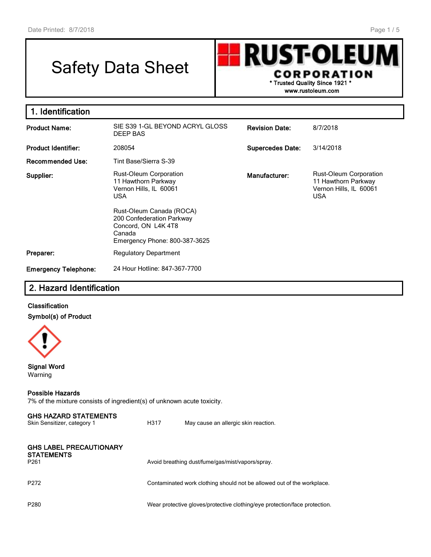I

# Safety Data Sheet

**RUST-OLEU CORPORATION \* Trusted Quality Since 1921 \***

**www.rustoleum.com**

| 1. Identification           |                                                                                                                        |                         |                                                                                              |  |
|-----------------------------|------------------------------------------------------------------------------------------------------------------------|-------------------------|----------------------------------------------------------------------------------------------|--|
| <b>Product Name:</b>        | SIE S39 1-GL BEYOND ACRYL GLOSS<br>DEEP BAS                                                                            | <b>Revision Date:</b>   | 8/7/2018                                                                                     |  |
| <b>Product Identifier:</b>  | 208054                                                                                                                 | <b>Supercedes Date:</b> | 3/14/2018                                                                                    |  |
| <b>Recommended Use:</b>     | Tint Base/Sierra S-39                                                                                                  |                         |                                                                                              |  |
| Supplier:                   | <b>Rust-Oleum Corporation</b><br>11 Hawthorn Parkway<br>Vernon Hills, IL 60061<br><b>USA</b>                           | Manufacturer:           | <b>Rust-Oleum Corporation</b><br>11 Hawthorn Parkway<br>Vernon Hills, IL 60061<br><b>USA</b> |  |
|                             | Rust-Oleum Canada (ROCA)<br>200 Confederation Parkway<br>Concord, ON L4K4T8<br>Canada<br>Emergency Phone: 800-387-3625 |                         |                                                                                              |  |
| Preparer:                   | <b>Regulatory Department</b>                                                                                           |                         |                                                                                              |  |
| <b>Emergency Telephone:</b> | 24 Hour Hotline: 847-367-7700                                                                                          |                         |                                                                                              |  |

# **2. Hazard Identification**

#### **Classification Symbol(s) of Product**



**Signal Word** Warning

#### **Possible Hazards**

7% of the mixture consists of ingredient(s) of unknown acute toxicity.

| <b>GHS HAZARD STATEMENTS</b><br>Skin Sensitizer, category 1             | H317 | May cause an allergic skin reaction.                                       |
|-------------------------------------------------------------------------|------|----------------------------------------------------------------------------|
| <b>GHS LABEL PRECAUTIONARY</b><br><b>STATEMENTS</b><br>P <sub>261</sub> |      | Avoid breathing dust/fume/gas/mist/vapors/spray.                           |
| P <sub>272</sub>                                                        |      | Contaminated work clothing should not be allowed out of the workplace.     |
| P <sub>280</sub>                                                        |      | Wear protective gloves/protective clothing/eye protection/face protection. |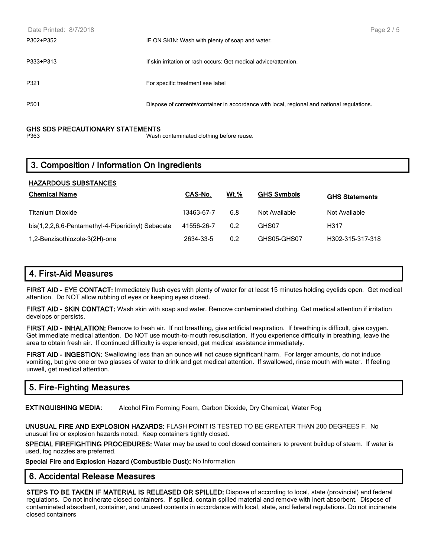| Date Printed: 8/7/2018 |                                                                                            | Page 2 / 5 |
|------------------------|--------------------------------------------------------------------------------------------|------------|
| P302+P352              | IF ON SKIN: Wash with plenty of soap and water.                                            |            |
| P333+P313              | If skin irritation or rash occurs: Get medical advice/attention.                           |            |
| P321                   | For specific treatment see label                                                           |            |
| P <sub>501</sub>       | Dispose of contents/container in accordance with local, regional and national regulations. |            |

# **GHS SDS PRECAUTIONARY STATEMENTS**

Wash contaminated clothing before reuse.

# **3. Composition / Information On Ingredients**

| <b>HAZARDOUS SUBSTANCES</b>                       |                |             |                    |                       |  |  |
|---------------------------------------------------|----------------|-------------|--------------------|-----------------------|--|--|
| <b>Chemical Name</b>                              | <b>CAS-No.</b> | <u>Wt.%</u> | <b>GHS Symbols</b> | <b>GHS Statements</b> |  |  |
| <b>Titanium Dioxide</b>                           | 13463-67-7     | 6.8         | Not Available      | Not Available         |  |  |
| bis(1,2,2,6,6-Pentamethyl-4-Piperidinyl) Sebacate | 41556-26-7     | 0.2         | GHS07              | H317                  |  |  |
| 1,2-Benzisothiozole-3(2H)-one                     | 2634-33-5      | 0.2         | GHS05-GHS07        | H302-315-317-318      |  |  |

# **4. First-Aid Measures**

**FIRST AID - EYE CONTACT:** Immediately flush eyes with plenty of water for at least 15 minutes holding eyelids open. Get medical attention. Do NOT allow rubbing of eyes or keeping eyes closed.

**FIRST AID - SKIN CONTACT:** Wash skin with soap and water. Remove contaminated clothing. Get medical attention if irritation develops or persists.

**FIRST AID - INHALATION:** Remove to fresh air. If not breathing, give artificial respiration. If breathing is difficult, give oxygen. Get immediate medical attention. Do NOT use mouth-to-mouth resuscitation. If you experience difficulty in breathing, leave the area to obtain fresh air. If continued difficulty is experienced, get medical assistance immediately.

**FIRST AID - INGESTION:** Swallowing less than an ounce will not cause significant harm. For larger amounts, do not induce vomiting, but give one or two glasses of water to drink and get medical attention. If swallowed, rinse mouth with water. If feeling unwell, get medical attention.

# **5. Fire-Fighting Measures**

**EXTINGUISHING MEDIA:** Alcohol Film Forming Foam, Carbon Dioxide, Dry Chemical, Water Fog

**UNUSUAL FIRE AND EXPLOSION HAZARDS:** FLASH POINT IS TESTED TO BE GREATER THAN 200 DEGREES F. No unusual fire or explosion hazards noted. Keep containers tightly closed.

**SPECIAL FIREFIGHTING PROCEDURES:** Water may be used to cool closed containers to prevent buildup of steam. If water is used, fog nozzles are preferred.

**Special Fire and Explosion Hazard (Combustible Dust):** No Information

#### **6. Accidental Release Measures**

**STEPS TO BE TAKEN IF MATERIAL IS RELEASED OR SPILLED:** Dispose of according to local, state (provincial) and federal regulations. Do not incinerate closed containers. If spilled, contain spilled material and remove with inert absorbent. Dispose of contaminated absorbent, container, and unused contents in accordance with local, state, and federal regulations. Do not incinerate closed containers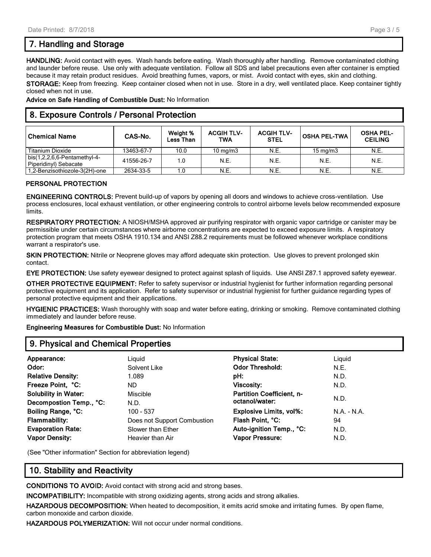# **7. Handling and Storage**

**HANDLING:** Avoid contact with eyes. Wash hands before eating. Wash thoroughly after handling. Remove contaminated clothing and launder before reuse. Use only with adequate ventilation. Follow all SDS and label precautions even after container is emptied because it may retain product residues. Avoid breathing fumes, vapors, or mist. Avoid contact with eyes, skin and clothing. **STORAGE:** Keep from freezing. Keep container closed when not in use. Store in a dry, well ventilated place. Keep container tightly closed when not in use.

**Advice on Safe Handling of Combustible Dust:** No Information

### **8. Exposure Controls / Personal Protection**

| ' Chemical Name                                           | CAS-No.    | Weight %<br>Less Than | <b>ACGIH TLV-</b><br>TWA | <b>ACGIH TLV-</b><br><b>STEL</b> | <b>OSHA PEL-TWA</b> | <b>OSHA PEL-</b><br><b>CEILING</b> |
|-----------------------------------------------------------|------------|-----------------------|--------------------------|----------------------------------|---------------------|------------------------------------|
| <b>Titanium Dioxide</b>                                   | 13463-67-7 | 10.0                  | 10 mg/m $3$              | N.E.                             | $15 \text{ mg/m}$   | N.E.                               |
| bis $(1,2,2,6,6$ -Pentamethyl-4-<br>Piperidinyl) Sebacate | 41556-26-7 | 1.0                   | <b>N.E.</b>              | N.E.                             | N.E.                | N.E.                               |
| 1,2-Benzisothiozole-3(2H)-one                             | 2634-33-5  | 1.0                   | N.E.                     | N.E.                             | N.E.                | N.E.                               |

#### **PERSONAL PROTECTION**

**ENGINEERING CONTROLS:** Prevent build-up of vapors by opening all doors and windows to achieve cross-ventilation. Use process enclosures, local exhaust ventilation, or other engineering controls to control airborne levels below recommended exposure limits.

**RESPIRATORY PROTECTION:** A NIOSH/MSHA approved air purifying respirator with organic vapor cartridge or canister may be permissible under certain circumstances where airborne concentrations are expected to exceed exposure limits. A respiratory protection program that meets OSHA 1910.134 and ANSI Z88.2 requirements must be followed whenever workplace conditions warrant a respirator's use.

**SKIN PROTECTION:** Nitrile or Neoprene gloves may afford adequate skin protection. Use gloves to prevent prolonged skin contact.

**EYE PROTECTION:** Use safety eyewear designed to protect against splash of liquids. Use ANSI Z87.1 approved safety eyewear.

**OTHER PROTECTIVE EQUIPMENT:** Refer to safety supervisor or industrial hygienist for further information regarding personal protective equipment and its application. Refer to safety supervisor or industrial hygienist for further guidance regarding types of personal protective equipment and their applications.

**HYGIENIC PRACTICES:** Wash thoroughly with soap and water before eating, drinking or smoking. Remove contaminated clothing immediately and launder before reuse.

**Engineering Measures for Combustible Dust:** No Information

#### **9. Physical and Chemical Properties**

| Appearance:                 | Liguid                      | <b>Physical State:</b>           | Liguid        |  |
|-----------------------------|-----------------------------|----------------------------------|---------------|--|
| Odor:                       | Solvent Like                | <b>Odor Threshold:</b>           | N.E.          |  |
| <b>Relative Density:</b>    | 1.089                       | pH:                              | N.D.          |  |
| Freeze Point, °C:           | ND.                         | <b>Viscosity:</b>                | N.D.          |  |
| <b>Solubility in Water:</b> | Miscible                    | <b>Partition Coefficient, n-</b> |               |  |
| Decompostion Temp., °C:     | N.D.                        | octanol/water:                   | N.D.          |  |
| Boiling Range, °C:          | 100 - 537                   | <b>Explosive Limits, vol%:</b>   | $N.A. - N.A.$ |  |
| <b>Flammability:</b>        | Does not Support Combustion | Flash Point, °C:                 | 94            |  |
| <b>Evaporation Rate:</b>    | Slower than Ether           | Auto-ignition Temp., °C:         | N.D.          |  |
| <b>Vapor Density:</b>       | Heavier than Air            | <b>Vapor Pressure:</b>           | N.D.          |  |
|                             |                             |                                  |               |  |

(See "Other information" Section for abbreviation legend)

# **10. Stability and Reactivity**

**CONDITIONS TO AVOID:** Avoid contact with strong acid and strong bases.

**INCOMPATIBILITY:** Incompatible with strong oxidizing agents, strong acids and strong alkalies.

**HAZARDOUS DECOMPOSITION:** When heated to decomposition, it emits acrid smoke and irritating fumes. By open flame, carbon monoxide and carbon dioxide.

**HAZARDOUS POLYMERIZATION:** Will not occur under normal conditions.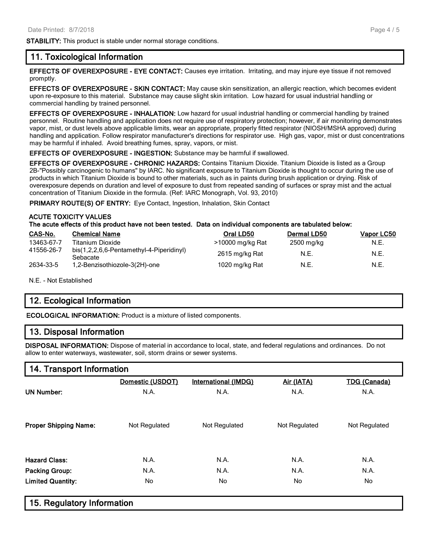**STABILITY:** This product is stable under normal storage conditions.

#### **11. Toxicological Information**

**EFFECTS OF OVEREXPOSURE - EYE CONTACT:** Causes eye irritation. Irritating, and may injure eye tissue if not removed promptly.

**EFFECTS OF OVEREXPOSURE - SKIN CONTACT:** May cause skin sensitization, an allergic reaction, which becomes evident upon re-exposure to this material. Substance may cause slight skin irritation. Low hazard for usual industrial handling or commercial handling by trained personnel.

**EFFECTS OF OVEREXPOSURE - INHALATION:** Low hazard for usual industrial handling or commercial handling by trained personnel. Routine handling and application does not require use of respiratory protection; however, if air monitoring demonstrates vapor, mist, or dust levels above applicable limits, wear an appropriate, properly fitted respirator (NIOSH/MSHA approved) during handling and application. Follow respirator manufacturer's directions for respirator use. High gas, vapor, mist or dust concentrations may be harmful if inhaled. Avoid breathing fumes, spray, vapors, or mist.

**EFFECTS OF OVEREXPOSURE - INGESTION:** Substance may be harmful if swallowed.

**EFFECTS OF OVEREXPOSURE - CHRONIC HAZARDS:** Contains Titanium Dioxide. Titanium Dioxide is listed as a Group 2B-"Possibly carcinogenic to humans" by IARC. No significant exposure to Titanium Dioxide is thought to occur during the use of products in which Titanium Dioxide is bound to other materials, such as in paints during brush application or drying. Risk of overexposure depends on duration and level of exposure to dust from repeated sanding of surfaces or spray mist and the actual concentration of Titanium Dioxide in the formula. (Ref: IARC Monograph, Vol. 93, 2010)

**PRIMARY ROUTE(S) OF ENTRY:** Eye Contact, Ingestion, Inhalation, Skin Contact

#### **ACUTE TOXICITY VALUES**

**The acute effects of this product have not been tested. Data on individual components are tabulated below:**

| CAS-No.    | <b>Chemical Name</b>                                 | Oral LD50        | <b>Dermal LD50</b> | Vapor LC50 |
|------------|------------------------------------------------------|------------------|--------------------|------------|
| 13463-67-7 | Titanium Dioxide                                     | >10000 mg/kg Rat | 2500 mg/kg         | N.E.       |
| 41556-26-7 | bis(1,2,2,6,6-Pentamethyl-4-Piperidinyl)<br>Sebacate | 2615 mg/kg Rat   | N.E.               | N.E.       |
| 2634-33-5  | 1,2-Benzisothiozole-3(2H)-one                        | 1020 mg/kg Rat   | N.E.               | N.E.       |

N.E. - Not Established

# **12. Ecological Information**

**ECOLOGICAL INFORMATION:** Product is a mixture of listed components.

#### **13. Disposal Information**

**DISPOSAL INFORMATION:** Dispose of material in accordance to local, state, and federal regulations and ordinances. Do not allow to enter waterways, wastewater, soil, storm drains or sewer systems.

#### **14. Transport Information**

|                              | Domestic (USDOT) | <b>International (IMDG)</b> | Air (IATA)    | <b>TDG (Canada)</b> |
|------------------------------|------------------|-----------------------------|---------------|---------------------|
| <b>UN Number:</b>            | N.A.             | N.A.                        | N.A.          | N.A.                |
|                              |                  |                             |               |                     |
| <b>Proper Shipping Name:</b> | Not Regulated    | Not Regulated               | Not Regulated | Not Regulated       |
| <b>Hazard Class:</b>         | N.A.             |                             | N.A.          | N.A.                |
|                              |                  | N.A.                        |               |                     |
| <b>Packing Group:</b>        | N.A.             | N.A.                        | N.A.          | N.A.                |
| <b>Limited Quantity:</b>     | No               | No.                         | No.           | No                  |